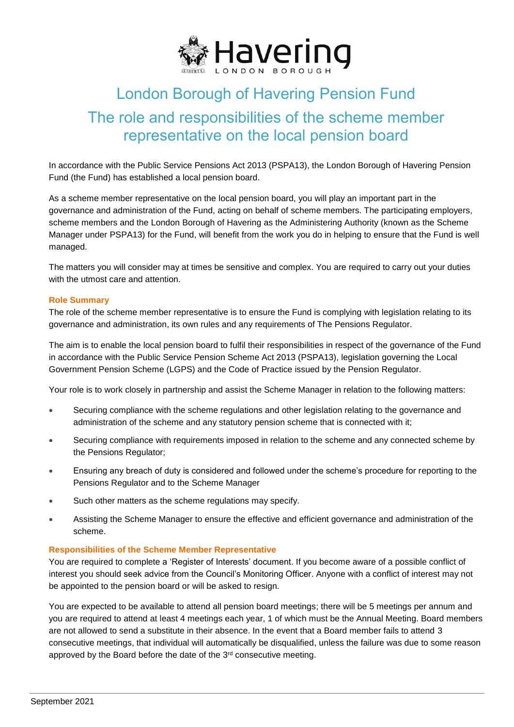

# London Borough of Havering Pension Fund The role and responsibilities of the scheme member representative on the local pension board

In accordance with the Public Service Pensions Act 2013 (PSPA13), the London Borough of Havering Pension Fund (the Fund) has established a local pension board.

As a scheme member representative on the local pension board, you will play an important part in the governance and administration of the Fund, acting on behalf of scheme members. The participating employers, scheme members and the London Borough of Havering as the Administering Authority (known as the Scheme Manager under PSPA13) for the Fund, will benefit from the work you do in helping to ensure that the Fund is well managed.

The matters you will consider may at times be sensitive and complex. You are required to carry out your duties with the utmost care and attention.

#### **Role Summary**

The role of the scheme member representative is to ensure the Fund is complying with legislation relating to its governance and administration, its own rules and any requirements of The Pensions Regulator.

The aim is to enable the local pension board to fulfil their responsibilities in respect of the governance of the Fund in accordance with the Public Service Pension Scheme Act 2013 (PSPA13), legislation governing the Local Government Pension Scheme (LGPS) and the Code of Practice issued by the Pension Regulator.

Your role is to work closely in partnership and assist the Scheme Manager in relation to the following matters:

- Securing compliance with the scheme regulations and other legislation relating to the governance and administration of the scheme and any statutory pension scheme that is connected with it;
- Securing compliance with requirements imposed in relation to the scheme and any connected scheme by the Pensions Regulator;
- Ensuring any breach of duty is considered and followed under the scheme's procedure for reporting to the Pensions Regulator and to the Scheme Manager
- Such other matters as the scheme regulations may specify.
- Assisting the Scheme Manager to ensure the effective and efficient governance and administration of the scheme.

#### **Responsibilities of the Scheme Member Representative**

You are required to complete a 'Register of Interests' document. If you become aware of a possible conflict of interest you should seek advice from the Council's Monitoring Officer. Anyone with a conflict of interest may not be appointed to the pension board or will be asked to resign.

You are expected to be available to attend all pension board meetings; there will be 5 meetings per annum and you are required to attend at least 4 meetings each year, 1 of which must be the Annual Meeting. Board members are not allowed to send a substitute in their absence. In the event that a Board member fails to attend 3 consecutive meetings, that individual will automatically be disqualified, unless the failure was due to some reason approved by the Board before the date of the 3rd consecutive meeting.